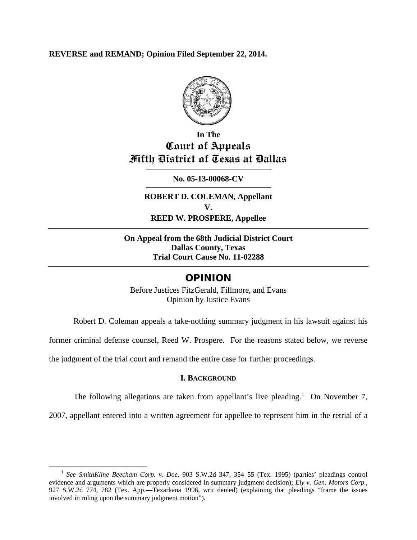**REVERSE and REMAND; Opinion Filed September 22, 2014.**



## **In The Court of Appeals Fifth District of Texas at Dallas**

### **No. 05-13-00068-CV**

**ROBERT D. COLEMAN, Appellant V. REED W. PROSPERE, Appellee**

**On Appeal from the 68th Judicial District Court Dallas County, Texas Trial Court Cause No. 11-02288**

## OPINION

Before Justices FitzGerald, Fillmore, and Evans Opinion by Justice Evans

Robert D. Coleman appeals a take-nothing summary judgment in his lawsuit against his

former criminal defense counsel, Reed W. Prospere. For the reasons stated below, we reverse

the judgment of the trial court and remand the entire case for further proceedings.

#### **I. BACKGROUND**

The following allegations are taken from appellant's live pleading.<sup>[1](#page-0-0)</sup> On November 7,

2007, appellant entered into a written agreement for appellee to represent him in the retrial of a

<span id="page-0-0"></span> <sup>1</sup> *See SmithKline Beecham Corp. v. Doe*, 903 S.W.2d 347, 354–55 (Tex. 1995) (parties' pleadings control evidence and arguments which are properly considered in summary judgment decision); *Ely v. Gen. Motors Corp.*, 927 S.W.2d 774, 782 (Tex. App.—Texarkana 1996, writ denied) (explaining that pleadings "frame the issues involved in ruling upon the summary judgment motion").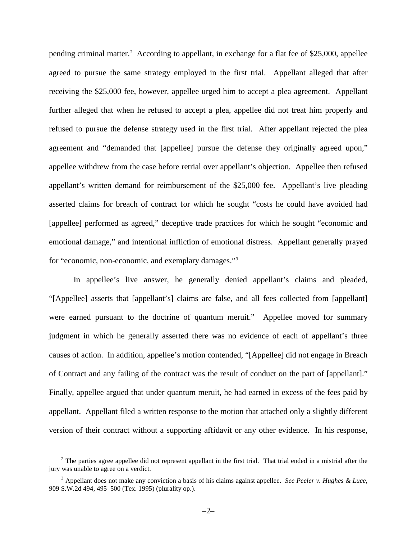pending criminal matter.[2](#page-1-0) According to appellant, in exchange for a flat fee of \$25,000, appellee agreed to pursue the same strategy employed in the first trial. Appellant alleged that after receiving the \$25,000 fee, however, appellee urged him to accept a plea agreement. Appellant further alleged that when he refused to accept a plea, appellee did not treat him properly and refused to pursue the defense strategy used in the first trial. After appellant rejected the plea agreement and "demanded that [appellee] pursue the defense they originally agreed upon," appellee withdrew from the case before retrial over appellant's objection. Appellee then refused appellant's written demand for reimbursement of the \$25,000 fee. Appellant's live pleading asserted claims for breach of contract for which he sought "costs he could have avoided had [appellee] performed as agreed," deceptive trade practices for which he sought "economic and emotional damage," and intentional infliction of emotional distress. Appellant generally prayed for "economic, non-economic, and exemplary damages."[3](#page-1-1)

In appellee's live answer, he generally denied appellant's claims and pleaded, "[Appellee] asserts that [appellant's] claims are false, and all fees collected from [appellant] were earned pursuant to the doctrine of quantum meruit." Appellee moved for summary judgment in which he generally asserted there was no evidence of each of appellant's three causes of action. In addition, appellee's motion contended, "[Appellee] did not engage in Breach of Contract and any failing of the contract was the result of conduct on the part of [appellant]." Finally, appellee argued that under quantum meruit, he had earned in excess of the fees paid by appellant. Appellant filed a written response to the motion that attached only a slightly different version of their contract without a supporting affidavit or any other evidence. In his response,

<span id="page-1-0"></span> $2$  The parties agree appellee did not represent appellant in the first trial. That trial ended in a mistrial after the jury was unable to agree on a verdict.

<span id="page-1-1"></span><sup>3</sup> Appellant does not make any conviction a basis of his claims against appellee. *See Peeler v. Hughes & Luce*, 909 S.W.2d 494, 495–500 (Tex. 1995) (plurality op.).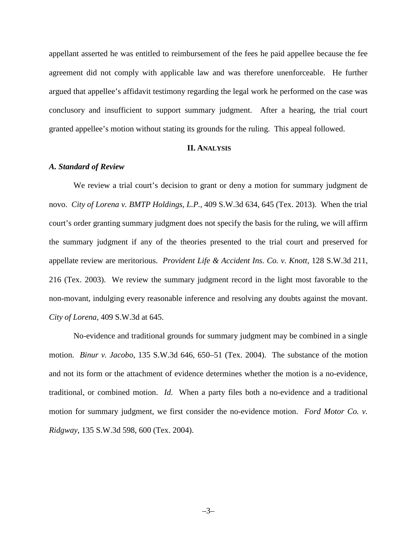appellant asserted he was entitled to reimbursement of the fees he paid appellee because the fee agreement did not comply with applicable law and was therefore unenforceable. He further argued that appellee's affidavit testimony regarding the legal work he performed on the case was conclusory and insufficient to support summary judgment. After a hearing, the trial court granted appellee's motion without stating its grounds for the ruling. This appeal followed.

#### **II. ANALYSIS**

#### *A. Standard of Review*

We review a trial court's decision to grant or deny a motion for summary judgment de novo. *City of Lorena v. BMTP Holdings, L.P.*, 409 S.W.3d 634, 645 (Tex. 2013). When the trial court's order granting summary judgment does not specify the basis for the ruling, we will affirm the summary judgment if any of the theories presented to the trial court and preserved for appellate review are meritorious. *Provident Life & Accident Ins. Co. v. Knott*, 128 S.W.3d 211, 216 (Tex. 2003). We review the summary judgment record in the light most favorable to the non-movant, indulging every reasonable inference and resolving any doubts against the movant. *City of Lorena*, 409 S.W.3d at 645.

No-evidence and traditional grounds for summary judgment may be combined in a single motion. *Binur v. Jacobo*, 135 S.W.3d 646, 650–51 (Tex. 2004). The substance of the motion and not its form or the attachment of evidence determines whether the motion is a no-evidence, traditional, or combined motion. *Id*. When a party files both a no-evidence and a traditional motion for summary judgment, we first consider the no-evidence motion. *Ford Motor Co. v. Ridgway*, 135 S.W.3d 598, 600 (Tex. 2004).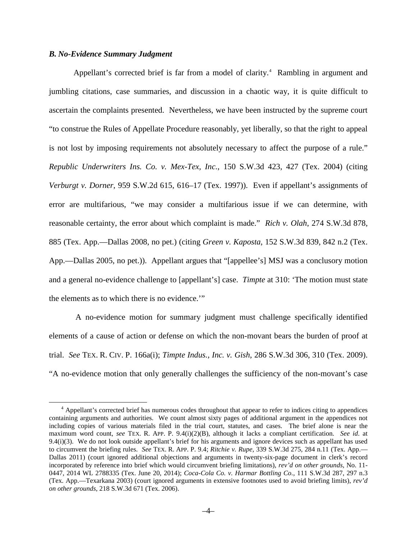#### *B. No-Evidence Summary Judgment*

Appellant's corrected brief is far from a model of clarity. [4](#page-3-0) Rambling in argument and jumbling citations, case summaries, and discussion in a chaotic way, it is quite difficult to ascertain the complaints presented. Nevertheless, we have been instructed by the supreme court "to construe the Rules of Appellate Procedure reasonably, yet liberally, so that the right to appeal is not lost by imposing requirements not absolutely necessary to affect the purpose of a rule." *Republic Underwriters Ins. Co. v. Mex-Tex, Inc.*, 150 S.W.3d 423, 427 (Tex. 2004) (citing *Verburgt v. Dorner*, 959 S.W.2d 615, 616–17 (Tex. 1997)). Even if appellant's assignments of error are multifarious, "we may consider a multifarious issue if we can determine, with reasonable certainty, the error about which complaint is made." *Rich v. Olah*, 274 S.W.3d 878, 885 (Tex. App.—Dallas 2008, no pet.) (citing *Green v. Kaposta*, 152 S.W.3d 839, 842 n.2 (Tex. App.—Dallas 2005, no pet.)). Appellant argues that "[appellee's] MSJ was a conclusory motion and a general no-evidence challenge to [appellant's] case. *Timpte* at 310: 'The motion must state the elements as to which there is no evidence.'"

A no-evidence motion for summary judgment must challenge specifically identified elements of a cause of action or defense on which the non-movant bears the burden of proof at trial. *See* TEX. R. CIV. P. 166a(i); *Timpte Indus., Inc. v. Gish*, 286 S.W.3d 306, 310 (Tex. 2009). "A no-evidence motion that only generally challenges the sufficiency of the non-movant's case

<span id="page-3-0"></span><sup>&</sup>lt;sup>4</sup> Appellant's corrected brief has numerous codes throughout that appear to refer to indices citing to appendices containing arguments and authorities. We count almost sixty pages of additional argument in the appendices not including copies of various materials filed in the trial court, statutes, and cases. The brief alone is near the maximum word count, *see* TEX. R. APP. P. 9.4(i)(2)(B), although it lacks a compliant certification. *See id*. at 9.4(i)(3). We do not look outside appellant's brief for his arguments and ignore devices such as appellant has used to circumvent the briefing rules. *See* TEX. R. APP. P. 9.4; *Ritchie v. Rupe*, 339 S.W.3d 275, 284 n.11 (Tex. App.— Dallas 2011) (court ignored additional objections and arguments in twenty-six-page document in clerk's record incorporated by reference into brief which would circumvent briefing limitations), *rev'd on other grounds*, No. 11- 0447, 2014 WL 2788335 (Tex. June 20, 2014); *Coca-Cola Co. v. Harmar Bottling Co.*, 111 S.W.3d 287, 297 n.3 (Tex. App.—Texarkana 2003) (court ignored arguments in extensive footnotes used to avoid briefing limits), *rev'd on other grounds*, 218 S.W.3d 671 (Tex. 2006).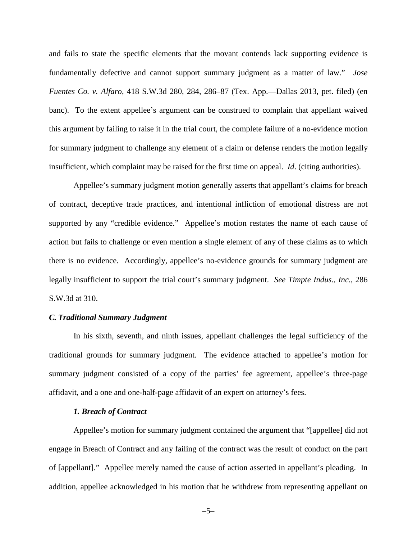and fails to state the specific elements that the movant contends lack supporting evidence is fundamentally defective and cannot support summary judgment as a matter of law." *Jose Fuentes Co. v. Alfaro*, 418 S.W.3d 280, 284, 286–87 (Tex. App.—Dallas 2013, pet. filed) (en banc). To the extent appellee's argument can be construed to complain that appellant waived this argument by failing to raise it in the trial court, the complete failure of a no-evidence motion for summary judgment to challenge any element of a claim or defense renders the motion legally insufficient, which complaint may be raised for the first time on appeal. *Id*. (citing authorities).

Appellee's summary judgment motion generally asserts that appellant's claims for breach of contract, deceptive trade practices, and intentional infliction of emotional distress are not supported by any "credible evidence." Appellee's motion restates the name of each cause of action but fails to challenge or even mention a single element of any of these claims as to which there is no evidence. Accordingly, appellee's no-evidence grounds for summary judgment are legally insufficient to support the trial court's summary judgment. *See Timpte Indus., Inc.*, 286 S.W.3d at 310.

#### *C. Traditional Summary Judgment*

In his sixth, seventh, and ninth issues, appellant challenges the legal sufficiency of the traditional grounds for summary judgment. The evidence attached to appellee's motion for summary judgment consisted of a copy of the parties' fee agreement, appellee's three-page affidavit, and a one and one-half-page affidavit of an expert on attorney's fees.

#### *1. Breach of Contract*

Appellee's motion for summary judgment contained the argument that "[appellee] did not engage in Breach of Contract and any failing of the contract was the result of conduct on the part of [appellant]." Appellee merely named the cause of action asserted in appellant's pleading. In addition, appellee acknowledged in his motion that he withdrew from representing appellant on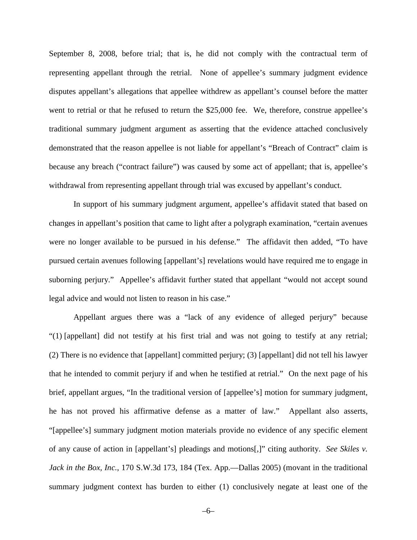September 8, 2008, before trial; that is, he did not comply with the contractual term of representing appellant through the retrial. None of appellee's summary judgment evidence disputes appellant's allegations that appellee withdrew as appellant's counsel before the matter went to retrial or that he refused to return the \$25,000 fee. We, therefore, construe appellee's traditional summary judgment argument as asserting that the evidence attached conclusively demonstrated that the reason appellee is not liable for appellant's "Breach of Contract" claim is because any breach ("contract failure") was caused by some act of appellant; that is, appellee's withdrawal from representing appellant through trial was excused by appellant's conduct.

In support of his summary judgment argument, appellee's affidavit stated that based on changes in appellant's position that came to light after a polygraph examination, "certain avenues were no longer available to be pursued in his defense." The affidavit then added, "To have pursued certain avenues following [appellant's] revelations would have required me to engage in suborning perjury." Appellee's affidavit further stated that appellant "would not accept sound legal advice and would not listen to reason in his case."

Appellant argues there was a "lack of any evidence of alleged perjury" because "(1) [appellant] did not testify at his first trial and was not going to testify at any retrial; (2) There is no evidence that [appellant] committed perjury; (3) [appellant] did not tell his lawyer that he intended to commit perjury if and when he testified at retrial." On the next page of his brief, appellant argues, "In the traditional version of [appellee's] motion for summary judgment, he has not proved his affirmative defense as a matter of law." Appellant also asserts, "[appellee's] summary judgment motion materials provide no evidence of any specific element of any cause of action in [appellant's] pleadings and motions[,]" citing authority. *See Skiles v. Jack in the Box, Inc.*, 170 S.W.3d 173, 184 (Tex. App.—Dallas 2005) (movant in the traditional summary judgment context has burden to either (1) conclusively negate at least one of the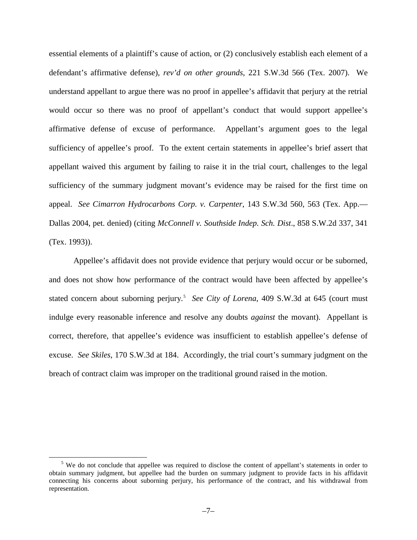essential elements of a plaintiff's cause of action, or (2) conclusively establish each element of a defendant's affirmative defense), *rev'd on other grounds*, 221 S.W.3d 566 (Tex. 2007). We understand appellant to argue there was no proof in appellee's affidavit that perjury at the retrial would occur so there was no proof of appellant's conduct that would support appellee's affirmative defense of excuse of performance. Appellant's argument goes to the legal sufficiency of appellee's proof. To the extent certain statements in appellee's brief assert that appellant waived this argument by failing to raise it in the trial court, challenges to the legal sufficiency of the summary judgment movant's evidence may be raised for the first time on appeal. *See Cimarron Hydrocarbons Corp. v. Carpenter*, 143 S.W.3d 560, 563 (Tex. App.— Dallas 2004, pet. denied) (citing *McConnell v. Southside Indep. Sch. Dist*., 858 S.W.2d 337, 341 (Tex. 1993)).

Appellee's affidavit does not provide evidence that perjury would occur or be suborned, and does not show how performance of the contract would have been affected by appellee's stated concern about suborning perjury. [5](#page-6-0) *See City of Lorena*, 409 S.W.3d at 645 (court must indulge every reasonable inference and resolve any doubts *against* the movant). Appellant is correct, therefore, that appellee's evidence was insufficient to establish appellee's defense of excuse. *See Skiles*, 170 S.W.3d at 184. Accordingly, the trial court's summary judgment on the breach of contract claim was improper on the traditional ground raised in the motion.

<span id="page-6-0"></span><sup>&</sup>lt;sup>5</sup> We do not conclude that appellee was required to disclose the content of appellant's statements in order to obtain summary judgment, but appellee had the burden on summary judgment to provide facts in his affidavit connecting his concerns about suborning perjury, his performance of the contract, and his withdrawal from representation.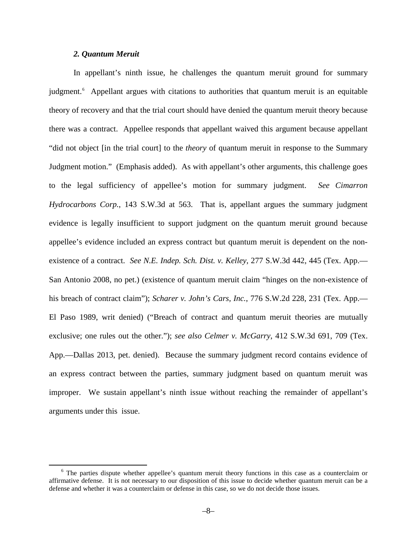#### *2. Quantum Meruit*

In appellant's ninth issue, he challenges the quantum meruit ground for summary judgment.<sup>[6](#page-7-0)</sup> Appellant argues with citations to authorities that quantum meruit is an equitable theory of recovery and that the trial court should have denied the quantum meruit theory because there was a contract. Appellee responds that appellant waived this argument because appellant "did not object [in the trial court] to the *theory* of quantum meruit in response to the Summary Judgment motion." (Emphasis added). As with appellant's other arguments, this challenge goes to the legal sufficiency of appellee's motion for summary judgment. *See Cimarron Hydrocarbons Corp.*, 143 S.W.3d at 563. That is, appellant argues the summary judgment evidence is legally insufficient to support judgment on the quantum meruit ground because appellee's evidence included an express contract but quantum meruit is dependent on the nonexistence of a contract. *See N.E. Indep. Sch. Dist. v. Kelley*, 277 S.W.3d 442, 445 (Tex. App.— San Antonio 2008, no pet.) (existence of quantum meruit claim "hinges on the non-existence of his breach of contract claim"); *Scharer v. John's Cars, Inc.*, 776 S.W.2d 228, 231 (Tex. App.— El Paso 1989, writ denied) ("Breach of contract and quantum meruit theories are mutually exclusive; one rules out the other."); *see also Celmer v. McGarry*, 412 S.W.3d 691, 709 (Tex. App.—Dallas 2013, pet. denied). Because the summary judgment record contains evidence of an express contract between the parties, summary judgment based on quantum meruit was improper. We sustain appellant's ninth issue without reaching the remainder of appellant's arguments under this issue.

<span id="page-7-0"></span><sup>&</sup>lt;sup>6</sup> The parties dispute whether appellee's quantum meruit theory functions in this case as a counterclaim or affirmative defense. It is not necessary to our disposition of this issue to decide whether quantum meruit can be a defense and whether it was a counterclaim or defense in this case, so we do not decide those issues.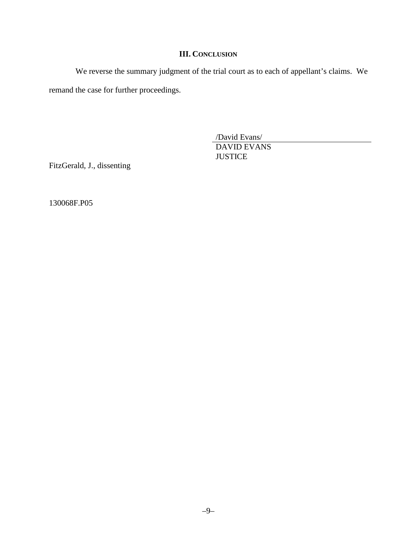## **III. CONCLUSION**

We reverse the summary judgment of the trial court as to each of appellant's claims. We remand the case for further proceedings.

> /David Evans/ DAVID EVANS

**JUSTICE** 

FitzGerald, J., dissenting

130068F.P05